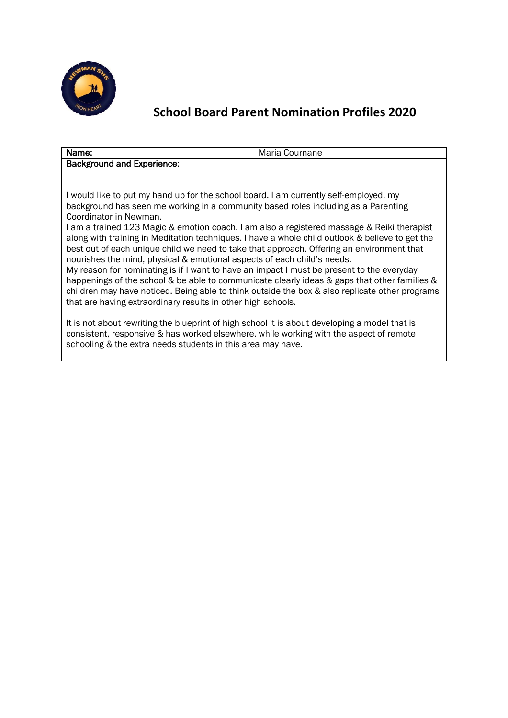

#### Name: Maria Cournane Background and Experience:

I would like to put my hand up for the school board. I am currently self-employed. my background has seen me working in a community based roles including as a Parenting Coordinator in Newman.

I am a trained 123 Magic & emotion coach. I am also a registered massage & Reiki therapist along with training in Meditation techniques. I have a whole child outlook & believe to get the best out of each unique child we need to take that approach. Offering an environment that nourishes the mind, physical & emotional aspects of each child's needs.

My reason for nominating is if I want to have an impact I must be present to the everyday happenings of the school & be able to communicate clearly ideas & gaps that other families & children may have noticed. Being able to think outside the box & also replicate other programs that are having extraordinary results in other high schools.

It is not about rewriting the blueprint of high school it is about developing a model that is consistent, responsive & has worked elsewhere, while working with the aspect of remote schooling & the extra needs students in this area may have.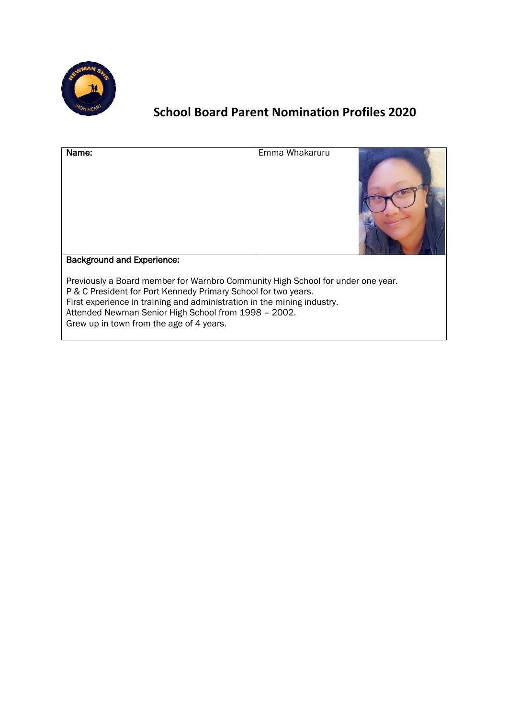

| Name:                                                          | Emma Whakaruru                                                                                                                                             |  |
|----------------------------------------------------------------|------------------------------------------------------------------------------------------------------------------------------------------------------------|--|
| <b>Background and Experience:</b>                              |                                                                                                                                                            |  |
| P & C President for Port Kennedy Primary School for two years. | Previously a Board member for Warnbro Community High School for under one year.<br>First experience in training and administration in the mining industry. |  |

Attended Newman Senior High School from 1998 – 2002.

Grew up in town from the age of 4 years.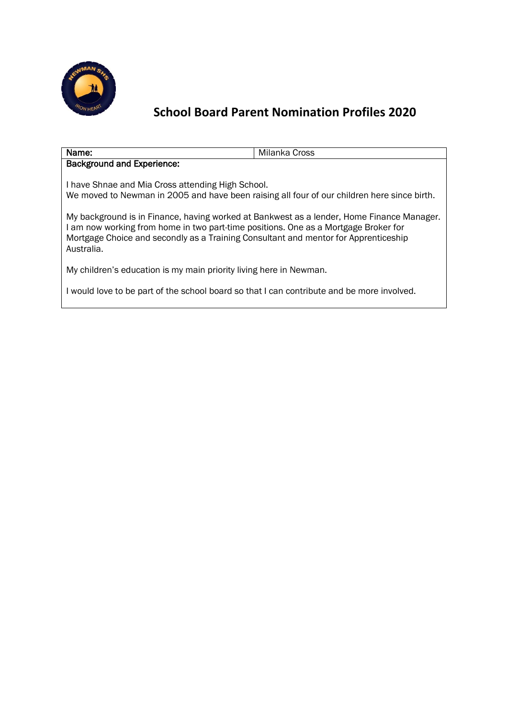

| Name:                                                                                                                                                                                                                                                                                 | Milanka Cross |  |
|---------------------------------------------------------------------------------------------------------------------------------------------------------------------------------------------------------------------------------------------------------------------------------------|---------------|--|
| <b>Background and Experience:</b>                                                                                                                                                                                                                                                     |               |  |
| I have Shnae and Mia Cross attending High School.<br>We moved to Newman in 2005 and have been raising all four of our children here since birth.                                                                                                                                      |               |  |
| My background is in Finance, having worked at Bankwest as a lender, Home Finance Manager.<br>I am now working from home in two part-time positions. One as a Mortgage Broker for<br>Mortgage Choice and secondly as a Training Consultant and mentor for Apprenticeship<br>Australia. |               |  |
| My children's education is my main priority living here in Newman.                                                                                                                                                                                                                    |               |  |

I would love to be part of the school board so that I can contribute and be more involved.